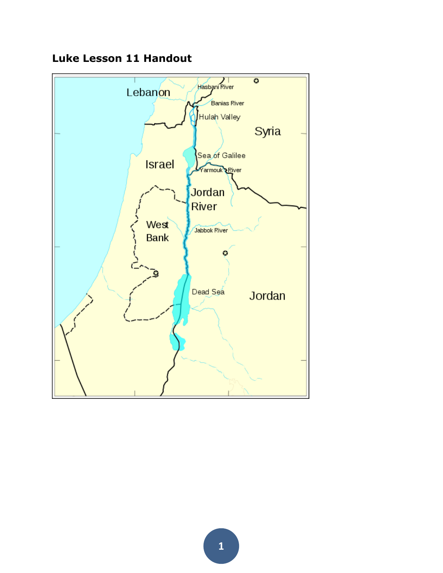

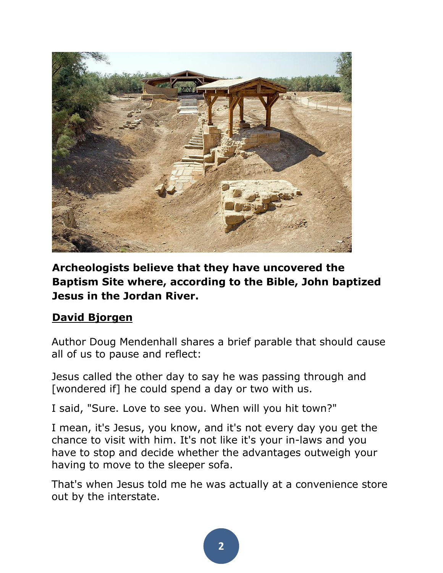

**Archeologists believe that they have uncovered the Baptism Site where, according to the Bible, John baptized Jesus in the Jordan River.**

## **[David Bjorgen](http://commons.wikimedia.org/wiki/User:Cybjorg)**

Author Doug Mendenhall shares a brief parable that should cause all of us to pause and reflect:

Jesus called the other day to say he was passing through and [wondered if] he could spend a day or two with us.

I said, "Sure. Love to see you. When will you hit town?"

I mean, it's Jesus, you know, and it's not every day you get the chance to visit with him. It's not like it's your in-laws and you have to stop and decide whether the advantages outweigh your having to move to the sleeper sofa.

That's when Jesus told me he was actually at a convenience store out by the interstate.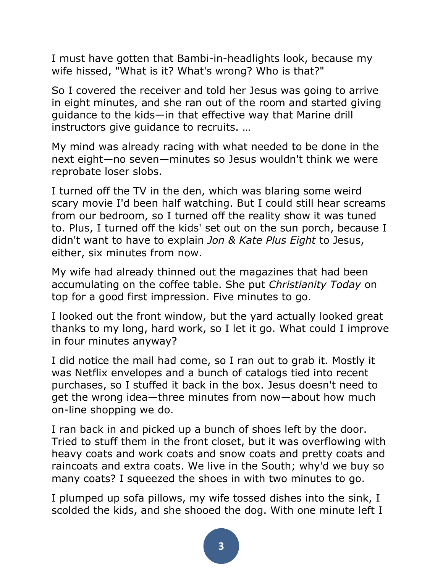I must have gotten that Bambi-in-headlights look, because my wife hissed, "What is it? What's wrong? Who is that?"

So I covered the receiver and told her Jesus was going to arrive in eight minutes, and she ran out of the room and started giving guidance to the kids—in that effective way that Marine drill instructors give guidance to recruits. …

My mind was already racing with what needed to be done in the next eight—no seven—minutes so Jesus wouldn't think we were reprobate loser slobs.

I turned off the TV in the den, which was blaring some weird scary movie I'd been half watching. But I could still hear screams from our bedroom, so I turned off the reality show it was tuned to. Plus, I turned off the kids' set out on the sun porch, because I didn't want to have to explain *Jon & Kate Plus Eight* to Jesus, either, six minutes from now.

My wife had already thinned out the magazines that had been accumulating on the coffee table. She put *Christianity Today* on top for a good first impression. Five minutes to go.

I looked out the front window, but the yard actually looked great thanks to my long, hard work, so I let it go. What could I improve in four minutes anyway?

I did notice the mail had come, so I ran out to grab it. Mostly it was Netflix envelopes and a bunch of catalogs tied into recent purchases, so I stuffed it back in the box. Jesus doesn't need to get the wrong idea—three minutes from now—about how much on-line shopping we do.

I ran back in and picked up a bunch of shoes left by the door. Tried to stuff them in the front closet, but it was overflowing with heavy coats and work coats and snow coats and pretty coats and raincoats and extra coats. We live in the South; why'd we buy so many coats? I squeezed the shoes in with two minutes to go.

I plumped up sofa pillows, my wife tossed dishes into the sink, I scolded the kids, and she shooed the dog. With one minute left I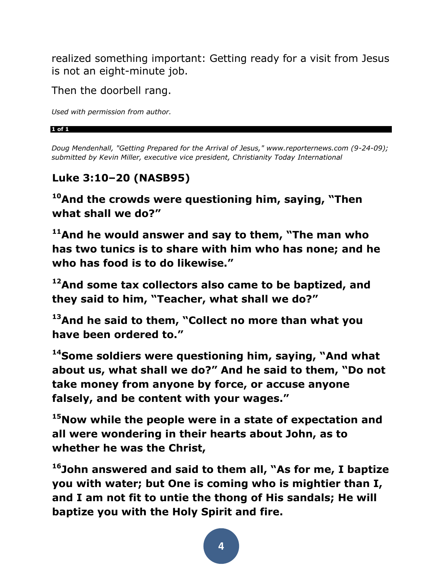realized something important: Getting ready for a visit from Jesus is not an eight-minute job.

Then the doorbell rang.

*Used with permission from author.*

#### **1 of 1**

*Doug Mendenhall, "Getting Prepared for the Arrival of Jesus," www.reporternews.com (9-24-09); submitted by Kevin Miller, executive vice president, Christianity Today International*

## **Luke 3:10–20 (NASB95)**

**<sup>10</sup>And the crowds were questioning him, saying, "Then what shall we do?"** 

**<sup>11</sup>And he would answer and say to them, "The man who has two tunics is to share with him who has none; and he who has food is to do likewise."** 

**<sup>12</sup>And some tax collectors also came to be baptized, and they said to him, "Teacher, what shall we do?"** 

**<sup>13</sup>And he said to them, "Collect no more than what you have been ordered to."** 

**<sup>14</sup>Some soldiers were questioning him, saying, "And what about us, what shall we do?" And he said to them, "Do not take money from anyone by force, or accuse anyone falsely, and be content with your wages."** 

**<sup>15</sup>Now while the people were in a state of expectation and all were wondering in their hearts about John, as to whether he was the Christ,** 

**<sup>16</sup>John answered and said to them all, "As for me, I baptize you with water; but One is coming who is mightier than I, and I am not fit to untie the thong of His sandals; He will baptize you with the Holy Spirit and fire.**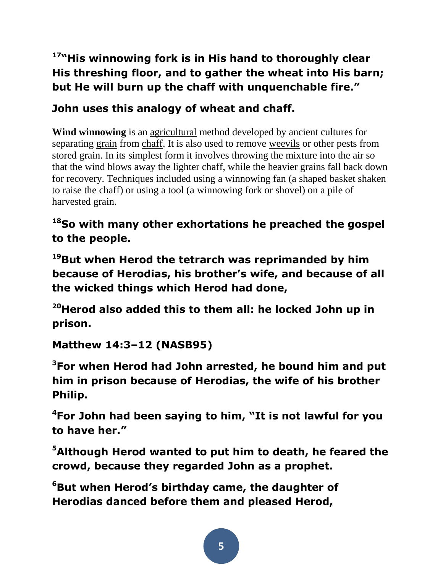# **<sup>17</sup>"His winnowing fork is in His hand to thoroughly clear His threshing floor, and to gather the wheat into His barn; but He will burn up the chaff with unquenchable fire."**

# **John uses this analogy of wheat and chaff.**

**Wind winnowing** is an [agricultural](http://en.wikipedia.org/wiki/Agriculture) method developed by ancient cultures for separating [grain](http://en.wikipedia.org/wiki/Cereal) from [chaff.](http://en.wikipedia.org/wiki/Chaff) It is also used to remove [weevils](http://en.wikipedia.org/wiki/Weevils) or other pests from stored grain. In its simplest form it involves throwing the mixture into the air so that the wind blows away the lighter chaff, while the heavier grains fall back down for recovery. Techniques included using a winnowing fan (a shaped basket shaken to raise the chaff) or using a tool (a [winnowing fork](http://en.wikipedia.org/wiki/Winnowing_fork) or shovel) on a pile of harvested grain.

# **<sup>18</sup>So with many other exhortations he preached the gospel to the people.**

**<sup>19</sup>But when Herod the tetrarch was reprimanded by him because of Herodias, his brother's wife, and because of all the wicked things which Herod had done,** 

**<sup>20</sup>Herod also added this to them all: he locked John up in prison.** 

**Matthew 14:3–12 (NASB95)** 

**<sup>3</sup>For when Herod had John arrested, he bound him and put him in prison because of Herodias, the wife of his brother Philip.** 

**<sup>4</sup>For John had been saying to him, "It is not lawful for you to have her."** 

**<sup>5</sup>Although Herod wanted to put him to death, he feared the crowd, because they regarded John as a prophet.** 

**<sup>6</sup>But when Herod's birthday came, the daughter of Herodias danced before them and pleased Herod,**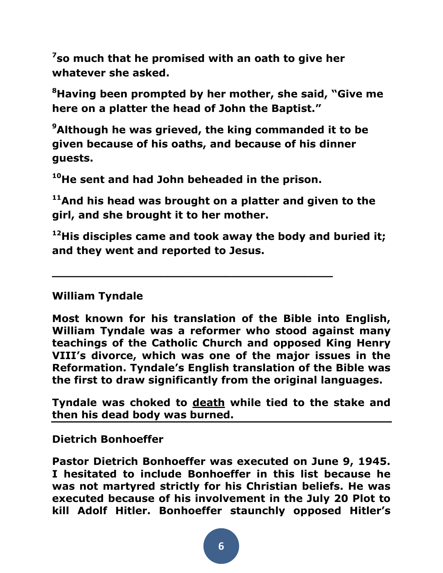**7 so much that he promised with an oath to give her whatever she asked.** 

**<sup>8</sup>Having been prompted by her mother, she said, "Give me here on a platter the head of John the Baptist."** 

**<sup>9</sup>Although he was grieved, the king commanded it to be given because of his oaths, and because of his dinner guests.** 

**<sup>10</sup>He sent and had John beheaded in the prison.** 

**\_\_\_\_\_\_\_\_\_\_\_\_\_\_\_\_\_\_\_\_\_\_\_\_\_\_\_\_\_\_\_\_\_\_\_\_\_\_\_**

**<sup>11</sup>And his head was brought on a platter and given to the girl, and she brought it to her mother.** 

**<sup>12</sup>His disciples came and took away the body and buried it; and they went and reported to Jesus.** 

#### **William Tyndale**

**Most known for his translation of the Bible into English, William Tyndale was a reformer who stood against many teachings of the Catholic Church and opposed King Henry VIII's divorce, which was one of the major issues in the Reformation. Tyndale's English translation of the Bible was the first to draw significantly from the original languages.**

**Tyndale was choked to [death](http://www.whatchristianswanttoknow.com/bible-verses-about-death/) while tied to the stake and then his dead body was burned.**

**Dietrich Bonhoeffer**

**Pastor Dietrich Bonhoeffer was executed on June 9, 1945. I hesitated to include Bonhoeffer in this list because he was not martyred strictly for his Christian beliefs. He was executed because of his involvement in the July 20 Plot to kill Adolf Hitler. Bonhoeffer staunchly opposed Hitler's**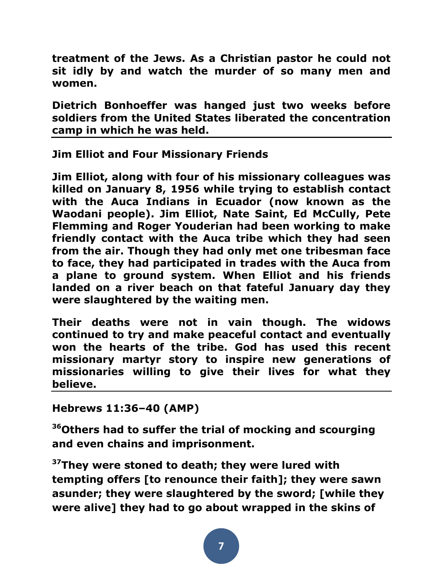**treatment of the Jews. As a Christian pastor he could not sit idly by and watch the murder of so many men and women.**

**Dietrich Bonhoeffer was hanged just two weeks before soldiers from the United States liberated the concentration camp in which he was held.**

**Jim Elliot and Four Missionary Friends**

**Jim Elliot, along with four of his missionary colleagues was killed on January 8, 1956 while trying to establish contact with the Auca Indians in Ecuador (now known as the Waodani people). Jim Elliot, Nate Saint, Ed McCully, Pete Flemming and Roger Youderian had been working to make friendly contact with the Auca tribe which they had seen from the air. Though they had only met one tribesman face to face, they had participated in trades with the Auca from a plane to ground system. When Elliot and his friends landed on a river beach on that fateful January day they were slaughtered by the waiting men.**

**Their deaths were not in vain though. The widows continued to try and make peaceful contact and eventually won the hearts of the tribe. God has used this recent missionary martyr story to inspire new generations of missionaries willing to give their lives for what they believe.**

**Hebrews 11:36–40 (AMP)** 

**<sup>36</sup>Others had to suffer the trial of mocking and scourging and even chains and imprisonment.** 

**<sup>37</sup>They were stoned to death; they were lured with tempting offers [to renounce their faith]; they were sawn asunder; they were slaughtered by the sword; [while they were alive] they had to go about wrapped in the skins of**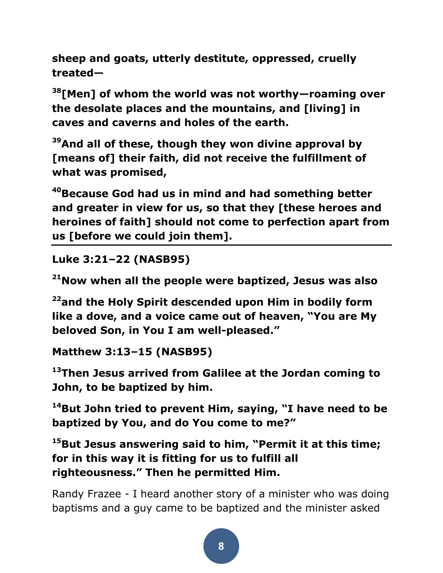**sheep and goats, utterly destitute, oppressed, cruelly treated—**

**<sup>38</sup>[Men] of whom the world was not worthy—roaming over the desolate places and the mountains, and [living] in caves and caverns and holes of the earth.** 

**<sup>39</sup>And all of these, though they won divine approval by [means of] their faith, did not receive the fulfillment of what was promised,** 

**<sup>40</sup>Because God had us in mind and had something better and greater in view for us, so that they [these heroes and heroines of faith] should not come to perfection apart from us [before we could join them].** 

**Luke 3:21–22 (NASB95)** 

**<sup>21</sup>Now when all the people were baptized, Jesus was also** 

**<sup>22</sup>and the Holy Spirit descended upon Him in bodily form like a dove, and a voice came out of heaven, "You are My beloved Son, in You I am well-pleased."**

**Matthew 3:13–15 (NASB95)** 

**<sup>13</sup>Then Jesus arrived from Galilee at the Jordan coming to John, to be baptized by him.** 

**<sup>14</sup>But John tried to prevent Him, saying, "I have need to be baptized by You, and do You come to me?"** 

**<sup>15</sup>But Jesus answering said to him, "Permit it at this time; for in this way it is fitting for us to fulfill all righteousness." Then he permitted Him.** 

Randy Frazee - I heard another story of a minister who was doing baptisms and a guy came to be baptized and the minister asked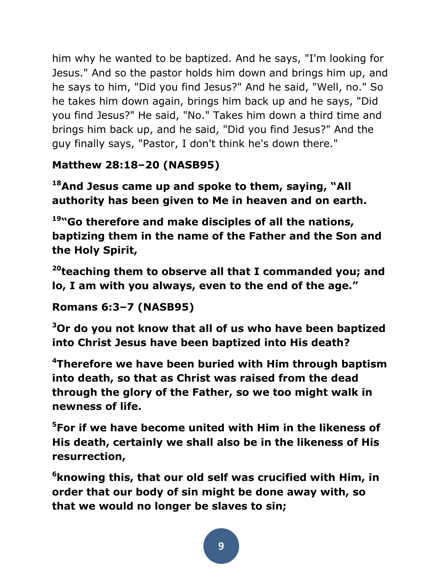him why he wanted to be baptized. And he says, "I'm looking for Jesus." And so the pastor holds him down and brings him up, and he says to him, "Did you find Jesus?" And he said, "Well, no." So he takes him down again, brings him back up and he says, "Did you find Jesus?" He said, "No." Takes him down a third time and brings him back up, and he said, "Did you find Jesus?" And the guy finally says, "Pastor, I don't think he's down there."

# **Matthew 28:18–20 (NASB95)**

**<sup>18</sup>And Jesus came up and spoke to them, saying, "All authority has been given to Me in heaven and on earth.** 

**<sup>19</sup>"Go therefore and make disciples of all the nations, baptizing them in the name of the Father and the Son and the Holy Spirit,** 

**<sup>20</sup>teaching them to observe all that I commanded you; and lo, I am with you always, even to the end of the age."** 

## **Romans 6:3–7 (NASB95)**

**<sup>3</sup>Or do you not know that all of us who have been baptized into Christ Jesus have been baptized into His death?** 

**<sup>4</sup>Therefore we have been buried with Him through baptism into death, so that as Christ was raised from the dead through the glory of the Father, so we too might walk in newness of life.** 

**<sup>5</sup>For if we have become united with Him in the likeness of His death, certainly we shall also be in the likeness of His resurrection,** 

**<sup>6</sup>knowing this, that our old self was crucified with Him, in order that our body of sin might be done away with, so that we would no longer be slaves to sin;**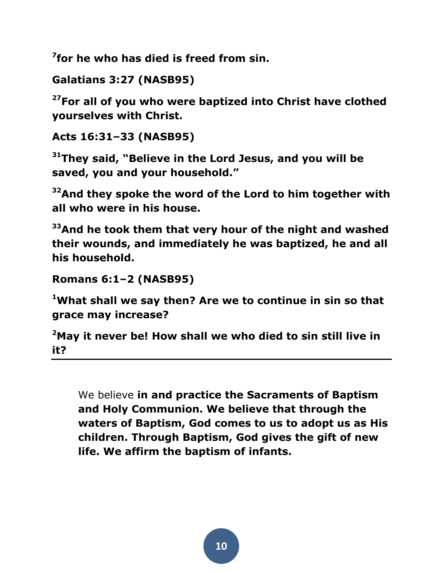**7 for he who has died is freed from sin.** 

```
Galatians 3:27 (NASB95)
```
**<sup>27</sup>For all of you who were baptized into Christ have clothed yourselves with Christ.** 

```
Acts 16:31–33 (NASB95)
```
**<sup>31</sup>They said, "Believe in the Lord Jesus, and you will be saved, you and your household."** 

**<sup>32</sup>And they spoke the word of the Lord to him together with all who were in his house.** 

**<sup>33</sup>And he took them that very hour of the night and washed their wounds, and immediately he was baptized, he and all his household.** 

```
Romans 6:1–2 (NASB95)
```
**<sup>1</sup>What shall we say then? Are we to continue in sin so that grace may increase?** 

**<sup>2</sup>May it never be! How shall we who died to sin still live in it?** 

We believe **in and practice the Sacraments of Baptism and Holy Communion. We believe that through the waters of Baptism, God comes to us to adopt us as His children. Through Baptism, God gives the gift of new life. We affirm the baptism of infants.**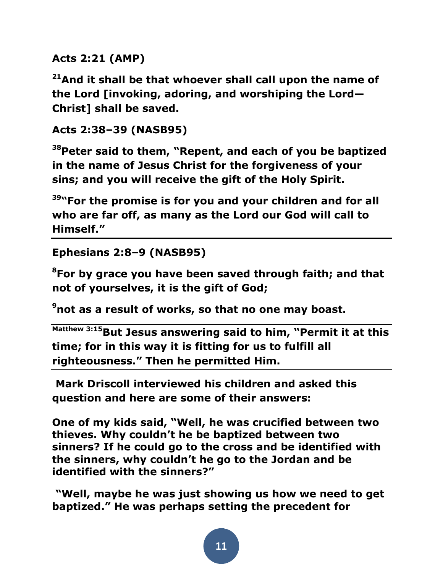**Acts 2:21 (AMP)**

**<sup>21</sup>And it shall be that whoever shall call upon the name of the Lord [invoking, adoring, and worshiping the Lord— Christ] shall be saved.** 

**Acts 2:38–39 (NASB95)** 

**<sup>38</sup>Peter said to them, "Repent, and each of you be baptized in the name of Jesus Christ for the forgiveness of your sins; and you will receive the gift of the Holy Spirit.** 

**<sup>39</sup>"For the promise is for you and your children and for all who are far off, as many as the Lord our God will call to Himself."** 

```
Ephesians 2:8–9 (NASB95)
```
**<sup>8</sup>For by grace you have been saved through faith; and that not of yourselves, it is the gift of God;** 

**<sup>9</sup>not as a result of works, so that no one may boast.** 

**Matthew 3:15But Jesus answering said to him, "Permit it at this time; for in this way it is fitting for us to fulfill all righteousness." Then he permitted Him.**

**Mark Driscoll interviewed his children and asked this question and here are some of their answers:**

**One of my kids said, "Well, he was crucified between two thieves. Why couldn't he be baptized between two sinners? If he could go to the cross and be identified with the sinners, why couldn't he go to the Jordan and be identified with the sinners?"** 

**"Well, maybe he was just showing us how we need to get baptized." He was perhaps setting the precedent for**